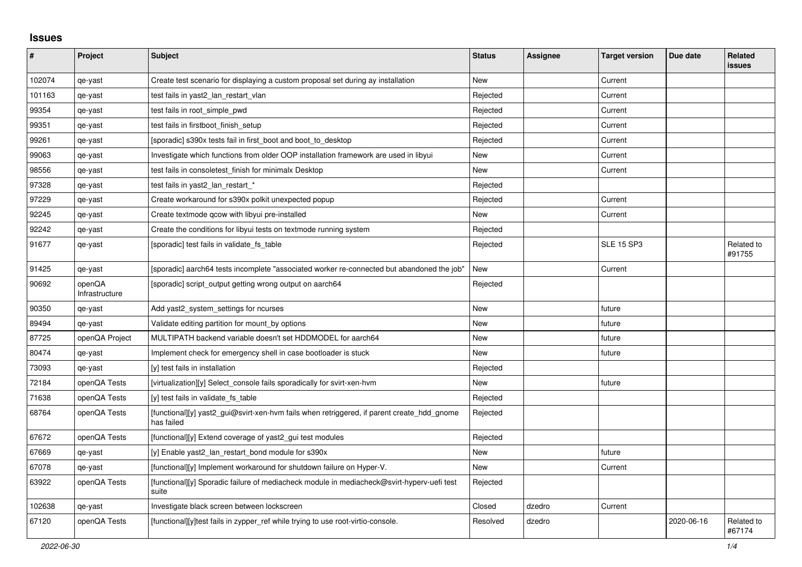## **Issues**

| #      | Project                  | <b>Subject</b>                                                                                           | <b>Status</b> | Assignee | <b>Target version</b> | Due date   | <b>Related</b><br><b>issues</b> |
|--------|--------------------------|----------------------------------------------------------------------------------------------------------|---------------|----------|-----------------------|------------|---------------------------------|
| 102074 | qe-yast                  | Create test scenario for displaying a custom proposal set during ay installation                         | <b>New</b>    |          | Current               |            |                                 |
| 101163 | qe-yast                  | test fails in yast2_lan_restart_vlan                                                                     | Rejected      |          | Current               |            |                                 |
| 99354  | qe-yast                  | test fails in root_simple_pwd                                                                            | Rejected      |          | Current               |            |                                 |
| 99351  | qe-yast                  | test fails in firstboot_finish_setup                                                                     | Rejected      |          | Current               |            |                                 |
| 99261  | qe-yast                  | [sporadic] s390x tests fail in first boot and boot to desktop                                            | Rejected      |          | Current               |            |                                 |
| 99063  | qe-yast                  | Investigate which functions from older OOP installation framework are used in libyui                     | New           |          | Current               |            |                                 |
| 98556  | qe-yast                  | test fails in consoletest finish for minimalx Desktop                                                    | <b>New</b>    |          | Current               |            |                                 |
| 97328  | qe-yast                  | test fails in yast2_lan_restart_*                                                                        | Rejected      |          |                       |            |                                 |
| 97229  | qe-yast                  | Create workaround for s390x polkit unexpected popup                                                      | Rejected      |          | Current               |            |                                 |
| 92245  | qe-yast                  | Create textmode gcow with libyui pre-installed                                                           | <b>New</b>    |          | Current               |            |                                 |
| 92242  | qe-yast                  | Create the conditions for libyui tests on textmode running system                                        | Rejected      |          |                       |            |                                 |
| 91677  | qe-yast                  | [sporadic] test fails in validate fs table                                                               | Rejected      |          | <b>SLE 15 SP3</b>     |            | Related to<br>#91755            |
| 91425  | qe-yast                  | [sporadic] aarch64 tests incomplete "associated worker re-connected but abandoned the job"               | New           |          | Current               |            |                                 |
| 90692  | openQA<br>Infrastructure | [sporadic] script output getting wrong output on aarch64                                                 | Rejected      |          |                       |            |                                 |
| 90350  | qe-yast                  | Add yast2_system_settings for ncurses                                                                    | <b>New</b>    |          | future                |            |                                 |
| 89494  | qe-yast                  | Validate editing partition for mount_by options                                                          | New           |          | future                |            |                                 |
| 87725  | openQA Project           | MULTIPATH backend variable doesn't set HDDMODEL for aarch64                                              | <b>New</b>    |          | future                |            |                                 |
| 80474  | qe-yast                  | Implement check for emergency shell in case bootloader is stuck                                          | <b>New</b>    |          | future                |            |                                 |
| 73093  | qe-yast                  | [y] test fails in installation                                                                           | Rejected      |          |                       |            |                                 |
| 72184  | openQA Tests             | [virtualization][y] Select_console fails sporadically for svirt-xen-hvm                                  | New           |          | future                |            |                                 |
| 71638  | openQA Tests             | [y] test fails in validate fs table                                                                      | Rejected      |          |                       |            |                                 |
| 68764  | openQA Tests             | [functional][y] yast2_gui@svirt-xen-hvm fails when retriggered, if parent create_hdd_gnome<br>has failed | Rejected      |          |                       |            |                                 |
| 67672  | openQA Tests             | [functional][y] Extend coverage of yast2_gui test modules                                                | Rejected      |          |                       |            |                                 |
| 67669  | qe-yast                  | [y] Enable yast2_lan_restart_bond module for s390x                                                       | New           |          | future                |            |                                 |
| 67078  | qe-yast                  | [functional][y] Implement workaround for shutdown failure on Hyper-V.                                    | New           |          | Current               |            |                                 |
| 63922  | openQA Tests             | [functional][y] Sporadic failure of mediacheck module in mediacheck@svirt-hyperv-uefi test<br>suite      | Rejected      |          |                       |            |                                 |
| 102638 | qe-yast                  | Investigate black screen between lockscreen                                                              | Closed        | dzedro   | Current               |            |                                 |
| 67120  | openQA Tests             | [functional][y]test fails in zypper_ref while trying to use root-virtio-console.                         | Resolved      | dzedro   |                       | 2020-06-16 | Related to<br>#67174            |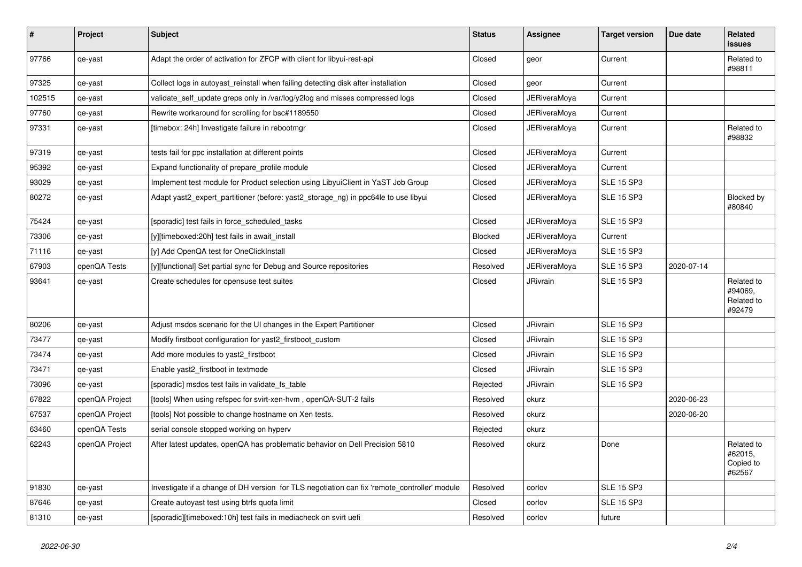| $\pmb{\#}$ | Project        | <b>Subject</b>                                                                               | <b>Status</b>  | Assignee            | <b>Target version</b> | Due date   | Related<br><b>issues</b>                      |
|------------|----------------|----------------------------------------------------------------------------------------------|----------------|---------------------|-----------------------|------------|-----------------------------------------------|
| 97766      | qe-yast        | Adapt the order of activation for ZFCP with client for libyui-rest-api                       | Closed         | geor                | Current               |            | Related to<br>#98811                          |
| 97325      | qe-yast        | Collect logs in autoyast reinstall when failing detecting disk after installation            | Closed         | geor                | Current               |            |                                               |
| 102515     | qe-yast        | validate_self_update greps only in /var/log/y2log and misses compressed logs                 | Closed         | JERiveraMoya        | Current               |            |                                               |
| 97760      | qe-yast        | Rewrite workaround for scrolling for bsc#1189550                                             | Closed         | JERiveraMoya        | Current               |            |                                               |
| 97331      | qe-yast        | [timebox: 24h] Investigate failure in rebootmgr                                              | Closed         | JERiveraMova        | Current               |            | Related to<br>#98832                          |
| 97319      | qe-yast        | tests fail for ppc installation at different points                                          | Closed         | JERiveraMoya        | Current               |            |                                               |
| 95392      | qe-yast        | Expand functionality of prepare profile module                                               | Closed         | JERiveraMoya        | Current               |            |                                               |
| 93029      | qe-yast        | Implement test module for Product selection using LibyuiClient in YaST Job Group             | Closed         | JERiveraMoya        | <b>SLE 15 SP3</b>     |            |                                               |
| 80272      | qe-yast        | Adapt yast2_expert_partitioner (before: yast2_storage_ng) in ppc64le to use libyui           | Closed         | JERiveraMoya        | <b>SLE 15 SP3</b>     |            | Blocked by<br>#80840                          |
| 75424      | qe-yast        | [sporadic] test fails in force_scheduled_tasks                                               | Closed         | <b>JERiveraMoya</b> | <b>SLE 15 SP3</b>     |            |                                               |
| 73306      | qe-yast        | [y][timeboxed:20h] test fails in await_install                                               | <b>Blocked</b> | <b>JERiveraMoya</b> | Current               |            |                                               |
| 71116      | qe-yast        | [y] Add OpenQA test for OneClickInstall                                                      | Closed         | <b>JERiveraMova</b> | <b>SLE 15 SP3</b>     |            |                                               |
| 67903      | openQA Tests   | [y][functional] Set partial sync for Debug and Source repositories                           | Resolved       | JERiveraMova        | <b>SLE 15 SP3</b>     | 2020-07-14 |                                               |
| 93641      | qe-yast        | Create schedules for opensuse test suites                                                    | Closed         | <b>JRivrain</b>     | <b>SLE 15 SP3</b>     |            | Related to<br>#94069.<br>Related to<br>#92479 |
| 80206      | qe-yast        | Adjust msdos scenario for the UI changes in the Expert Partitioner                           | Closed         | <b>JRivrain</b>     | <b>SLE 15 SP3</b>     |            |                                               |
| 73477      | qe-yast        | Modify firstboot configuration for yast2_firstboot_custom                                    | Closed         | <b>JRivrain</b>     | <b>SLE 15 SP3</b>     |            |                                               |
| 73474      | qe-yast        | Add more modules to yast2_firstboot                                                          | Closed         | <b>JRivrain</b>     | <b>SLE 15 SP3</b>     |            |                                               |
| 73471      | qe-yast        | Enable yast2 firstboot in textmode                                                           | Closed         | <b>JRivrain</b>     | <b>SLE 15 SP3</b>     |            |                                               |
| 73096      | qe-yast        | [sporadic] msdos test fails in validate fs table                                             | Rejected       | JRivrain            | <b>SLE 15 SP3</b>     |            |                                               |
| 67822      | openQA Project | [tools] When using refspec for svirt-xen-hvm, openQA-SUT-2 fails                             | Resolved       | okurz               |                       | 2020-06-23 |                                               |
| 67537      | openQA Project | [tools] Not possible to change hostname on Xen tests.                                        | Resolved       | okurz               |                       | 2020-06-20 |                                               |
| 63460      | openQA Tests   | serial console stopped working on hyperv                                                     | Rejected       | okurz               |                       |            |                                               |
| 62243      | openQA Project | After latest updates, openQA has problematic behavior on Dell Precision 5810                 | Resolved       | okurz               | Done                  |            | Related to<br>#62015,<br>Copied to<br>#62567  |
| 91830      | qe-yast        | Investigate if a change of DH version for TLS negotiation can fix 'remote_controller' module | Resolved       | oorlov              | <b>SLE 15 SP3</b>     |            |                                               |
| 87646      | qe-yast        | Create autoyast test using btrfs quota limit                                                 | Closed         | oorlov              | <b>SLE 15 SP3</b>     |            |                                               |
| 81310      | qe-yast        | [sporadic][timeboxed:10h] test fails in mediacheck on svirt uefi                             | Resolved       | oorlov              | future                |            |                                               |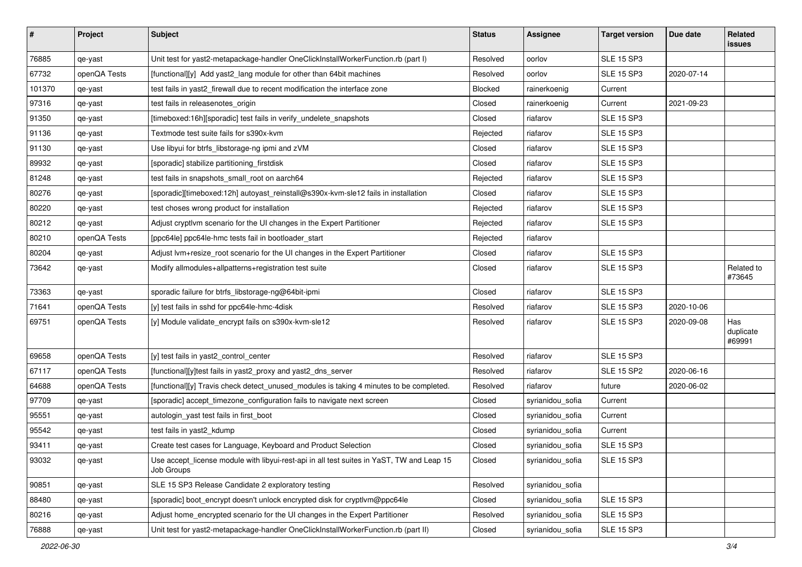| $\#$   | Project      | <b>Subject</b>                                                                                          | <b>Status</b> | <b>Assignee</b>  | <b>Target version</b> | Due date   | Related<br>issues          |
|--------|--------------|---------------------------------------------------------------------------------------------------------|---------------|------------------|-----------------------|------------|----------------------------|
| 76885  | qe-yast      | Unit test for yast2-metapackage-handler OneClickInstallWorkerFunction.rb (part I)                       | Resolved      | oorlov           | <b>SLE 15 SP3</b>     |            |                            |
| 67732  | openQA Tests | [functional][y] Add yast2_lang module for other than 64bit machines                                     | Resolved      | oorlov           | <b>SLE 15 SP3</b>     | 2020-07-14 |                            |
| 101370 | qe-yast      | test fails in yast2_firewall due to recent modification the interface zone                              | Blocked       | rainerkoenig     | Current               |            |                            |
| 97316  | qe-yast      | test fails in releasenotes origin                                                                       | Closed        | rainerkoenig     | Current               | 2021-09-23 |                            |
| 91350  | qe-yast      | [timeboxed:16h][sporadic] test fails in verify_undelete_snapshots                                       | Closed        | riafarov         | <b>SLE 15 SP3</b>     |            |                            |
| 91136  | qe-yast      | Textmode test suite fails for s390x-kvm                                                                 | Rejected      | riafarov         | <b>SLE 15 SP3</b>     |            |                            |
| 91130  | qe-yast      | Use libyui for btrfs libstorage-ng ipmi and zVM                                                         | Closed        | riafarov         | <b>SLE 15 SP3</b>     |            |                            |
| 89932  | qe-yast      | [sporadic] stabilize partitioning_firstdisk                                                             | Closed        | riafarov         | <b>SLE 15 SP3</b>     |            |                            |
| 81248  | qe-yast      | test fails in snapshots_small_root on aarch64                                                           | Rejected      | riafarov         | <b>SLE 15 SP3</b>     |            |                            |
| 80276  | qe-yast      | [sporadic][timeboxed:12h] autoyast_reinstall@s390x-kvm-sle12 fails in installation                      | Closed        | riafarov         | <b>SLE 15 SP3</b>     |            |                            |
| 80220  | qe-yast      | test choses wrong product for installation                                                              | Rejected      | riafarov         | <b>SLE 15 SP3</b>     |            |                            |
| 80212  | qe-yast      | Adjust cryptlvm scenario for the UI changes in the Expert Partitioner                                   | Rejected      | riafarov         | <b>SLE 15 SP3</b>     |            |                            |
| 80210  | openQA Tests | [ppc64le] ppc64le-hmc tests fail in bootloader_start                                                    | Rejected      | riafarov         |                       |            |                            |
| 80204  | qe-yast      | Adjust lvm+resize_root scenario for the UI changes in the Expert Partitioner                            | Closed        | riafarov         | <b>SLE 15 SP3</b>     |            |                            |
| 73642  | qe-yast      | Modify allmodules+allpatterns+registration test suite                                                   | Closed        | riafarov         | <b>SLE 15 SP3</b>     |            | Related to<br>#73645       |
| 73363  | qe-yast      | sporadic failure for btrfs_libstorage-ng@64bit-ipmi                                                     | Closed        | riafarov         | <b>SLE 15 SP3</b>     |            |                            |
| 71641  | openQA Tests | [y] test fails in sshd for ppc64le-hmc-4disk                                                            | Resolved      | riafarov         | <b>SLE 15 SP3</b>     | 2020-10-06 |                            |
| 69751  | openQA Tests | [y] Module validate_encrypt fails on s390x-kvm-sle12                                                    | Resolved      | riafarov         | <b>SLE 15 SP3</b>     | 2020-09-08 | Has<br>duplicate<br>#69991 |
| 69658  | openQA Tests | [y] test fails in yast2_control_center                                                                  | Resolved      | riafarov         | <b>SLE 15 SP3</b>     |            |                            |
| 67117  | openQA Tests | [functional][y]test fails in yast2_proxy and yast2_dns_server                                           | Resolved      | riafarov         | <b>SLE 15 SP2</b>     | 2020-06-16 |                            |
| 64688  | openQA Tests | [functional][y] Travis check detect_unused_modules is taking 4 minutes to be completed.                 | Resolved      | riafarov         | future                | 2020-06-02 |                            |
| 97709  | qe-yast      | [sporadic] accept_timezone_configuration fails to navigate next screen                                  | Closed        | syrianidou_sofia | Current               |            |                            |
| 95551  | qe-yast      | autologin_yast test fails in first_boot                                                                 | Closed        | syrianidou_sofia | Current               |            |                            |
| 95542  | qe-yast      | test fails in yast2_kdump                                                                               | Closed        | syrianidou_sofia | Current               |            |                            |
| 93411  | qe-yast      | Create test cases for Language, Keyboard and Product Selection                                          | Closed        | syrianidou_sofia | <b>SLE 15 SP3</b>     |            |                            |
| 93032  | qe-yast      | Use accept_license module with libyui-rest-api in all test suites in YaST, TW and Leap 15<br>Job Groups | Closed        | syrianidou_sofia | <b>SLE 15 SP3</b>     |            |                            |
| 90851  | qe-yast      | SLE 15 SP3 Release Candidate 2 exploratory testing                                                      | Resolved      | syrianidou_sofia |                       |            |                            |
| 88480  | qe-yast      | [sporadic] boot_encrypt doesn't unlock encrypted disk for cryptlvm@ppc64le                              | Closed        | syrianidou_sofia | <b>SLE 15 SP3</b>     |            |                            |
| 80216  | qe-yast      | Adjust home_encrypted scenario for the UI changes in the Expert Partitioner                             | Resolved      | syrianidou_sofia | <b>SLE 15 SP3</b>     |            |                            |
| 76888  | qe-yast      | Unit test for yast2-metapackage-handler OneClickInstallWorkerFunction.rb (part II)                      | Closed        | syrianidou_sofia | <b>SLE 15 SP3</b>     |            |                            |